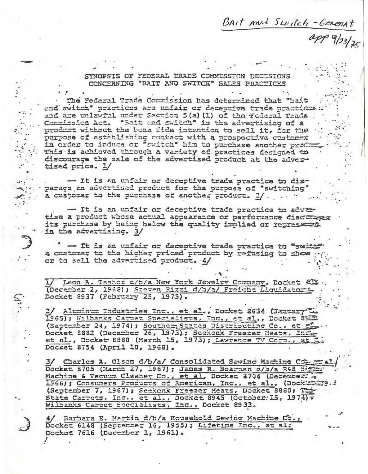BAIT And Switch-GENERAT

 $app9/123/75$ 

SYNOPSIS OF FEDERAL TRADE COMMISSION DECISIONS CONCERNING "BAIT AND SWITCH" SALES PRACTICES

The Federal Trade Commission has determined that "bait and switch" practices are unfair or deceptive trade practices: and are unlawful under Section 5(a) (1) of the Federal Trada. Commission Act. "Bait and switch" is the advertising of a product without the bona fide intention to sell it, for the purpose of establishing contact with a prospective customer in order to induce or "switch" him to purchase another product This is achieved through a variety of practices designed to discourage the sale of the advertised product at the advertised price. 1/

- It is an unfair or deceptive trade practice to disparage an advertised product for the purpose of "switching" a customer to the purchase of another product. 2/. ... "

- It is an unfair or deceptive trade practice to advertise a product whose actual appearance or performance discusses its purchase by being below the quality implied or represented in the advertising. 3/

- It is an unfair or deceptive trade practice to "swimmed" a customer to the higher priced product by refusing to show ... or to sell the advartised product. 4/

Leon A. Tashof d/b/a New York Jewelry Company, Docket & P (December 2, 1968); Steven Rizzi d/b/a/ Freicht Liquidators, Docket 8937 (February 25, 1975).

2/ Aluminum Industries Inc., et al., Docket 8634 (January L. 1965); Wilbanks Carpet Specialists, Inc., et al., Docket 85 (September 24, 1974); Souther States Distributing Co., et el. Docket 8882 (Decamber 26, 1973).; Seekonk Freezer Heats, Inc. et al., Docket 8880 (March 15, 1973); Lawrence TV Corp., et Docket 8754 (April 10, 1968).

3/ Charles A. Olson d/b/a/ Consolidated Sewing Machine Comer al Docket 8705 (March 27, 1967); James R. Boarnen d/b/a R£B Siere Machine & Vacuum Cleaner Co., et al, Docket 8706 (December: 20 1966); Consumers Products of American, Inc., et al., (Dockaserg.: (September 7, 1967); Seekonk Freezer Meats, Docket 8880; The State Carpets, Inc., et al., Docket 8945 (October: 15, 1974) = Wilbanks Carpet Specialists, Inc., Docket 8933.

4/ Barbara E. Martin d/b/a Household Sewing Machine Co., Docket 6148 (September 16, 1955); Lifetime Inc., et al: Docket 7616 (December 1, 1961).